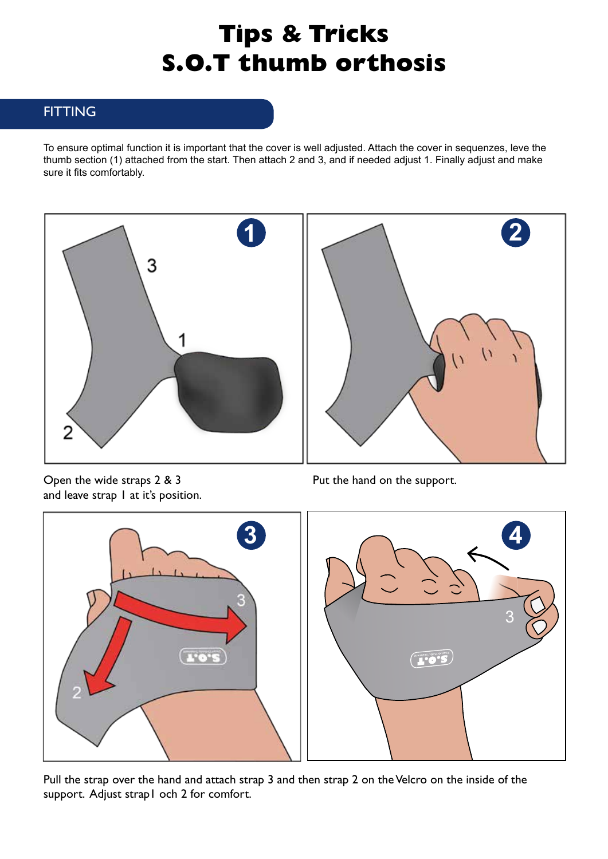# **Tips & Tricks S.O.T thumb orthosis**

## **FITTING**

To ensure optimal function it is important that the cover is well adjusted. Attach the cover in sequenzes, leve the thumb section (1) attached from the start. Then attach 2 and 3, and if needed adjust 1. Finally adjust and make sure it fits comfortably.



Open the wide straps 2 & 3 and leave strap I at it's position.

Put the hand on the support.



Pull the strap over the hand and attach strap 3 and then strap 2 on the Velcro on the inside of the support. Adjust strap1 och 2 for comfort.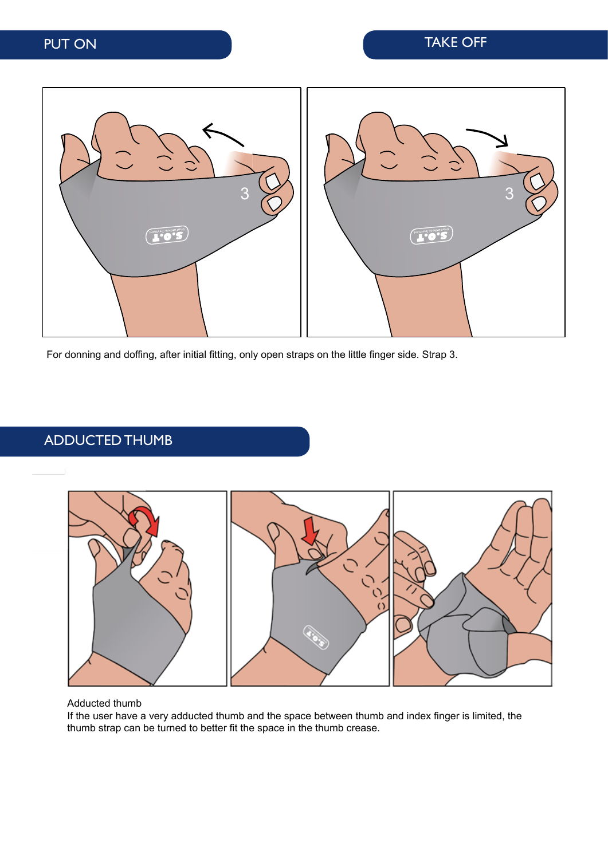

For donning and doffing, after initial fitting, only open straps on the little finger side. Strap 3.

## ADDUCTED THUMB



#### Adducted thumb

If the user have a very adducted thumb and the space between thumb and index finger is limited, the thumb strap can be turned to better fit the space in the thumb crease.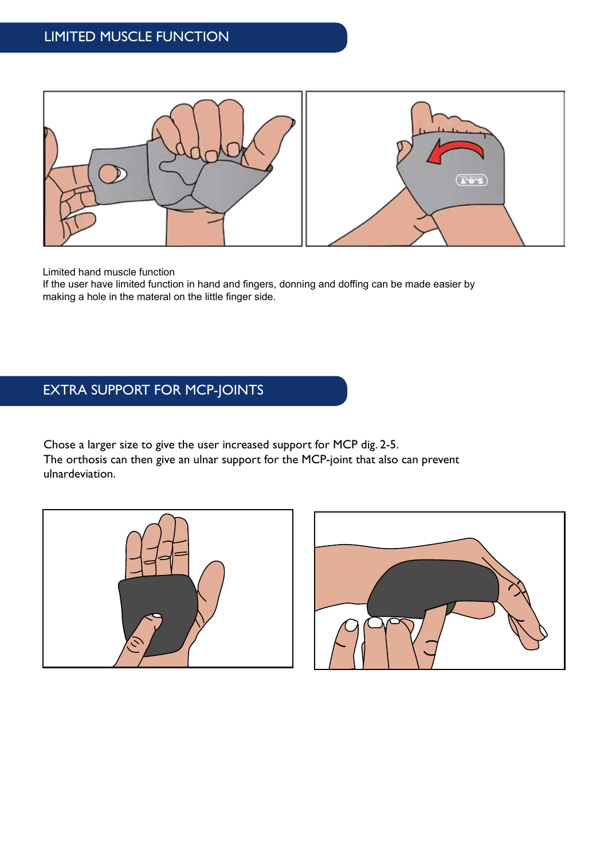

Limited hand muscle function

If the user have limited function in hand and fingers, donning and doffing can be made easier by making a hole in the materal on the little finger side.

## EXTRA SUPPORT FOR MCP-JOINTS

Chose a larger size to give the user increased support for MCP dig. 2-5. The orthosis can then give an ulnar support for the MCP-joint that also can prevent ulnardeviation.